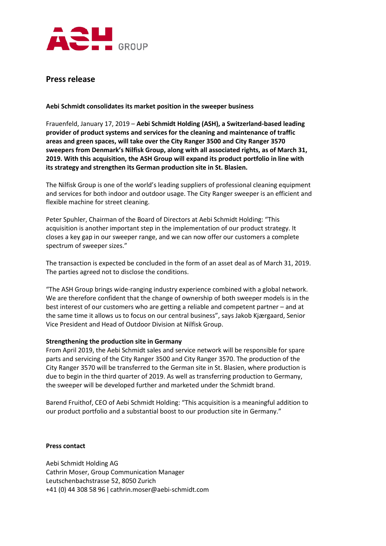

## **Press release**

**Aebi Schmidt consolidates its market position in the sweeper business**

Frauenfeld, January 17, 2019 – **Aebi Schmidt Holding (ASH), a Switzerland-based leading provider of product systems and services for the cleaning and maintenance of traffic areas and green spaces, will take over the City Ranger 3500 and City Ranger 3570 sweepers from Denmark's Nilfisk Group, along with all associated rights, as of March 31, 2019. With this acquisition, the ASH Group will expand its product portfolio in line with its strategy and strengthen its German production site in St. Blasien.**

The Nilfisk Group is one of the world's leading suppliers of professional cleaning equipment and services for both indoor and outdoor usage. The City Ranger sweeper is an efficient and flexible machine for street cleaning.

Peter Spuhler, Chairman of the Board of Directors at Aebi Schmidt Holding: "This acquisition is another important step in the implementation of our product strategy. It closes a key gap in our sweeper range, and we can now offer our customers a complete spectrum of sweeper sizes."

The transaction is expected be concluded in the form of an asset deal as of March 31, 2019. The parties agreed not to disclose the conditions.

"The ASH Group brings wide-ranging industry experience combined with a global network. We are therefore confident that the change of ownership of both sweeper models is in the best interest of our customers who are getting a reliable and competent partner – and at the same time it allows us to focus on our central business", says Jakob Kjærgaard, Senior Vice President and Head of Outdoor Division at Nilfisk Group.

## **Strengthening the production site in Germany**

From April 2019, the Aebi Schmidt sales and service network will be responsible for spare parts and servicing of the City Ranger 3500 and City Ranger 3570. The production of the City Ranger 3570 will be transferred to the German site in St. Blasien, where production is due to begin in the third quarter of 2019. As well as transferring production to Germany, the sweeper will be developed further and marketed under the Schmidt brand.

Barend Fruithof, CEO of Aebi Schmidt Holding: "This acquisition is a meaningful addition to our product portfolio and a substantial boost to our production site in Germany."

## **Press contact**

Aebi Schmidt Holding AG Cathrin Moser, Group Communication Manager Leutschenbachstrasse 52, 8050 Zurich +41 (0) 44 308 58 96 ǀ cathrin.moser@aebi-schmidt.com